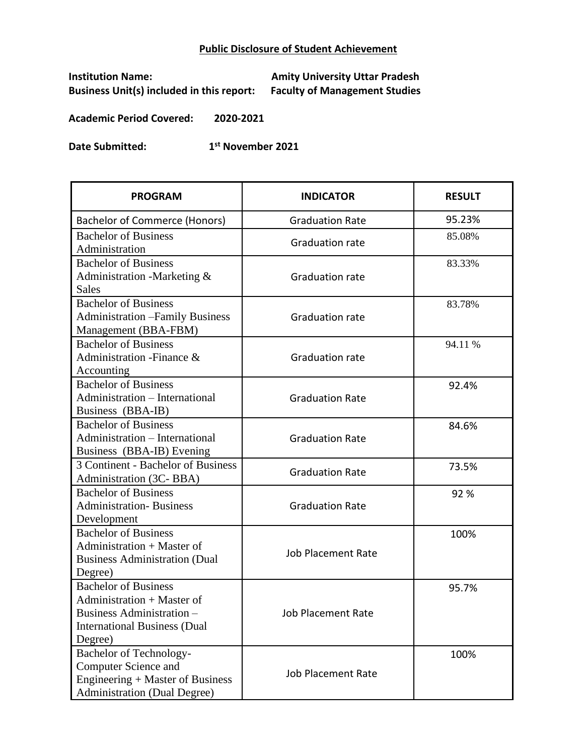## **Public Disclosure of Student Achievement**

**Business Unit(s) included in this report:** 

**Institution Name: Amity University Uttar Pradesh**

**Academic Period Covered: 2020-2021**

**Date Submitted: 1 st November 2021**

| <b>PROGRAM</b>                          | <b>INDICATOR</b>          | <b>RESULT</b> |
|-----------------------------------------|---------------------------|---------------|
| Bachelor of Commerce (Honors)           | <b>Graduation Rate</b>    | 95.23%        |
| <b>Bachelor of Business</b>             | <b>Graduation rate</b>    | 85.08%        |
| Administration                          |                           |               |
| <b>Bachelor of Business</b>             |                           | 83.33%        |
| Administration -Marketing &             | <b>Graduation rate</b>    |               |
| <b>Sales</b>                            |                           |               |
| <b>Bachelor of Business</b>             |                           | 83.78%        |
| <b>Administration - Family Business</b> | <b>Graduation rate</b>    |               |
| Management (BBA-FBM)                    |                           |               |
| <b>Bachelor of Business</b>             |                           | 94.11 %       |
| Administration - Finance &              | <b>Graduation rate</b>    |               |
| Accounting                              |                           |               |
| <b>Bachelor of Business</b>             |                           | 92.4%         |
| Administration - International          | <b>Graduation Rate</b>    |               |
| Business (BBA-IB)                       |                           |               |
| <b>Bachelor of Business</b>             |                           | 84.6%         |
| Administration - International          | <b>Graduation Rate</b>    |               |
| Business (BBA-IB) Evening               |                           |               |
| 3 Continent - Bachelor of Business      | <b>Graduation Rate</b>    | 73.5%         |
| Administration (3C-BBA)                 |                           |               |
| <b>Bachelor of Business</b>             |                           | 92%           |
| <b>Administration-Business</b>          | <b>Graduation Rate</b>    |               |
| Development                             |                           |               |
| <b>Bachelor of Business</b>             |                           | 100%          |
| Administration $+$ Master of            | <b>Job Placement Rate</b> |               |
| <b>Business Administration (Dual</b>    |                           |               |
| Degree)                                 |                           |               |
| <b>Bachelor of Business</b>             |                           | 95.7%         |
| Administration + Master of              |                           |               |
| Business Administration -               | <b>Job Placement Rate</b> |               |
| <b>International Business (Dual</b>     |                           |               |
| Degree)                                 |                           |               |
| Bachelor of Technology-                 |                           | 100%          |
| <b>Computer Science and</b>             | <b>Job Placement Rate</b> |               |
| Engineering + Master of Business        |                           |               |
| <b>Administration (Dual Degree)</b>     |                           |               |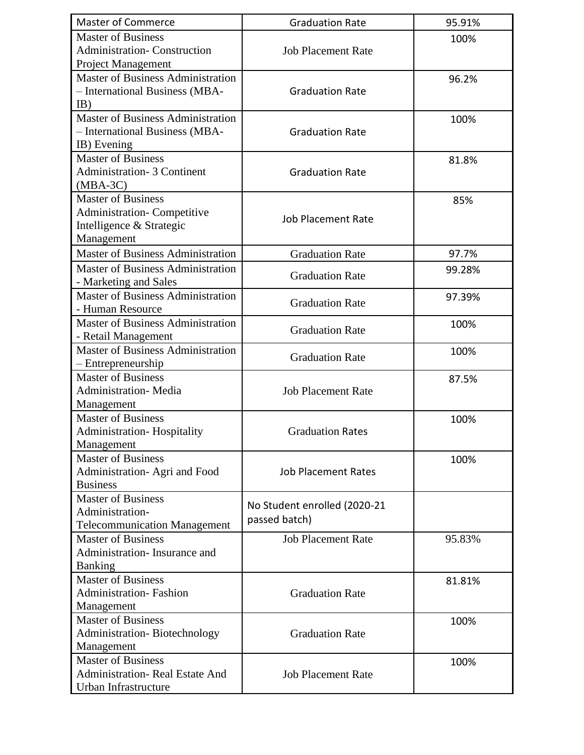| <b>Master of Commerce</b>                | <b>Graduation Rate</b>       | 95.91% |
|------------------------------------------|------------------------------|--------|
| <b>Master of Business</b>                |                              | 100%   |
| <b>Administration- Construction</b>      | <b>Job Placement Rate</b>    |        |
| Project Management                       |                              |        |
| <b>Master of Business Administration</b> |                              | 96.2%  |
| - International Business (MBA-           | <b>Graduation Rate</b>       |        |
| IB)                                      |                              |        |
| <b>Master of Business Administration</b> |                              | 100%   |
| - International Business (MBA-           | <b>Graduation Rate</b>       |        |
| IB) Evening                              |                              |        |
| Master of Business                       |                              | 81.8%  |
| <b>Administration- 3 Continent</b>       | <b>Graduation Rate</b>       |        |
| $(MBA-3C)$                               |                              |        |
| <b>Master of Business</b>                |                              | 85%    |
| <b>Administration- Competitive</b>       | <b>Job Placement Rate</b>    |        |
| Intelligence & Strategic                 |                              |        |
| Management                               |                              |        |
| <b>Master of Business Administration</b> | <b>Graduation Rate</b>       | 97.7%  |
| <b>Master of Business Administration</b> |                              | 99.28% |
| - Marketing and Sales                    | <b>Graduation Rate</b>       |        |
| <b>Master of Business Administration</b> |                              | 97.39% |
| - Human Resource                         | <b>Graduation Rate</b>       |        |
| Master of Business Administration        |                              | 100%   |
| - Retail Management                      | <b>Graduation Rate</b>       |        |
| <b>Master of Business Administration</b> |                              | 100%   |
| - Entrepreneurship                       | <b>Graduation Rate</b>       |        |
| <b>Master of Business</b>                |                              | 87.5%  |
| <b>Administration-Media</b>              | <b>Job Placement Rate</b>    |        |
| Management                               |                              |        |
| <b>Master of Business</b>                |                              | 100%   |
| <b>Administration-Hospitality</b>        | <b>Graduation Rates</b>      |        |
| Management                               |                              |        |
| <b>Master of Business</b>                |                              | 100%   |
| Administration-Agri and Food             | <b>Job Placement Rates</b>   |        |
| <b>Business</b>                          |                              |        |
| <b>Master of Business</b>                | No Student enrolled (2020-21 |        |
| Administration-                          | passed batch)                |        |
| <b>Telecommunication Management</b>      |                              |        |
| <b>Master of Business</b>                | <b>Job Placement Rate</b>    | 95.83% |
| Administration-Insurance and             |                              |        |
| <b>Banking</b>                           |                              |        |
| <b>Master of Business</b>                |                              | 81.81% |
| <b>Administration-Fashion</b>            | <b>Graduation Rate</b>       |        |
| Management                               |                              |        |
| <b>Master of Business</b>                |                              | 100%   |
| <b>Administration-Biotechnology</b>      | <b>Graduation Rate</b>       |        |
| Management                               |                              |        |
| <b>Master of Business</b>                |                              | 100%   |
| Administration-Real Estate And           | <b>Job Placement Rate</b>    |        |
| Urban Infrastructure                     |                              |        |